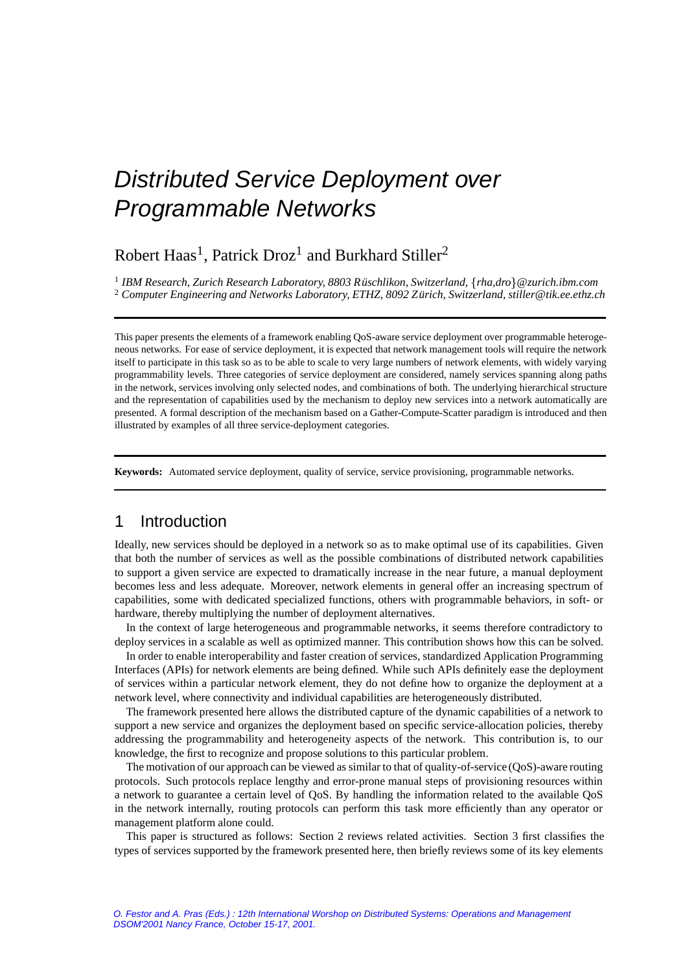# Distributed Service Deployment over Programmable Networks

Robert Haas<sup>1</sup>, Patrick Droz<sup>1</sup> and Burkhard Stiller<sup>2</sup>

<sup>1</sup> *IBM Research, Zurich Research Laboratory, 8803 Ruschlikon, Switzerland, ¨* f*[rha,](mailto:rha@zurich.ibm.com)[dro](mailto:dro@zurich.ibm.com)*g*@zurich.ibm.com* <sup>2</sup> *Computer Engineering and Networks Laboratory, ETHZ, 8092 Zurich, Switzerland, [stiller@tik.ee.ethz.ch](mailto:stiller@tik.ee.ethz.ch) ¨*

This paper presents the elements of a framework enabling QoS-aware service deployment over programmable heterogeneous networks. For ease of service deployment, it is expected that network management tools will require the network itself to participate in this task so as to be able to scale to very large numbers of network elements, with widely varying programmability levels. Three categories of service deployment are considered, namely services spanning along paths in the network, services involving only selected nodes, and combinations of both. The underlying hierarchical structure and the representation of capabilities used by the mechanism to deploy new services into a network automatically are presented. A formal description of the mechanism based on a Gather-Compute-Scatter paradigm is introduced and then illustrated by examples of all three service-deployment categories.

**Keywords:** Automated service deployment, quality of service, service provisioning, programmable networks.

# 1 Introduction

Ideally, new services should be deployed in a network so as to make optimal use of its capabilities. Given that both the number of services as well as the possible combinations of distributed network capabilities to support a given service are expected to dramatically increase in the near future, a manual deployment becomes less and less adequate. Moreover, network elements in general offer an increasing spectrum of capabilities, some with dedicated specialized functions, others with programmable behaviors, in soft- or hardware, thereby multiplying the number of deployment alternatives.

In the context of large heterogeneous and programmable networks, it seems therefore contradictory to deploy services in a scalable as well as optimized manner. This contribution shows how this can be solved.

In order to enable interoperability and faster creation of services, standardized Application Programming Interfaces (APIs) for network elements are being defined. While such APIs definitely ease the deployment of services within a particular network element, they do not define how to organize the deployment at a network level, where connectivity and individual capabilities are heterogeneously distributed.

The framework presented here allows the distributed capture of the dynamic capabilities of a network to support a new service and organizes the deployment based on specific service-allocation policies, thereby addressing the programmability and heterogeneity aspects of the network. This contribution is, to our knowledge, the first to recognize and propose solutions to this particular problem.

The motivation of our approach can be viewed as similar to that of quality-of-service (QoS)-aware routing protocols. Such protocols replace lengthy and error-prone manual steps of provisioning resources within a network to guarantee a certain level of QoS. By handling the information related to the available QoS in the network internally, routing protocols can perform this task more efficiently than any operator or management platform alone could.

This paper is structured as follows: Section 2 reviews related activities. Section 3 first classifies the types of services supported by the framework presented here, then briefly reviews some of its key elements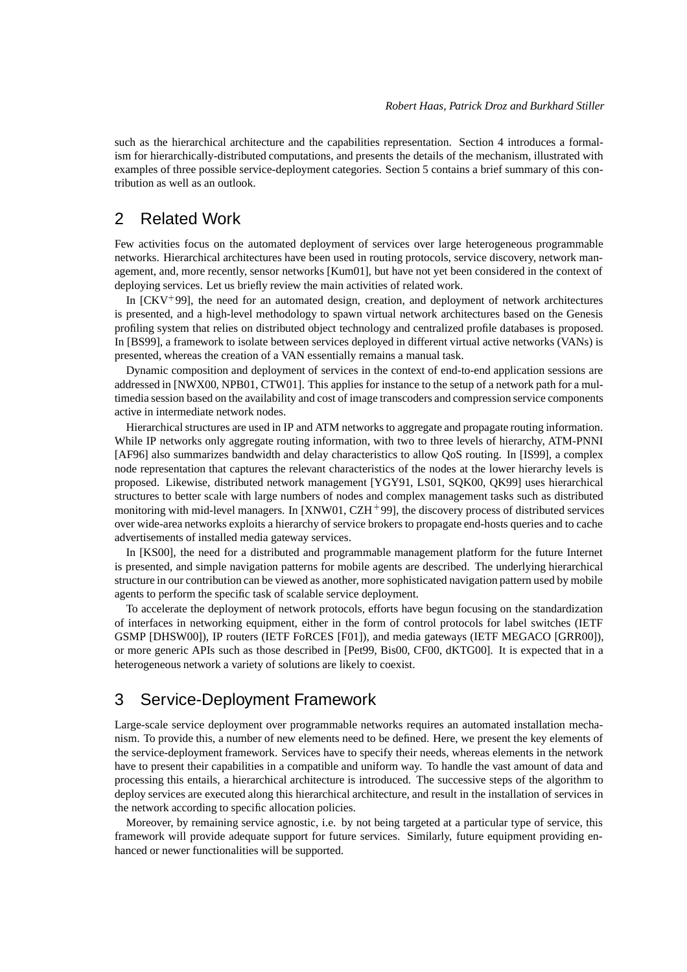such as the hierarchical architecture and the capabilities representation. Section 4 introduces a formalism for hierarchically-distributed computations, and presents the details of the mechanism, illustrated with examples of three possible service-deployment categories. Section 5 contains a brief summary of this contribution as well as an outlook.

### 2 Related Work

Few activities focus on the automated deployment of services over large heterogeneous programmable networks. Hierarchical architectures have been used in routing protocols, service discovery, network management, and, more recently, sensor networks [Kum01], but have not yet been considered in the context of deploying services. Let us briefly review the main activities of related work.

In [CKV<sup>+</sup> 99], the need for an automated design, creation, and deployment of network architectures is presented, and a high-level methodology to spawn virtual network architectures based on the Genesis profiling system that relies on distributed object technology and centralized profile databases is proposed. In [BS99], a framework to isolate between services deployed in different virtual active networks (VANs) is presented, whereas the creation of a VAN essentially remains a manual task.

Dynamic composition and deployment of services in the context of end-to-end application sessions are addressed in [NWX00, NPB01, CTW01]. This applies for instance to the setup of a network path for a multimedia session based on the availability and cost of image transcoders and compression service components active in intermediate network nodes.

Hierarchical structures are used in IP and ATM networks to aggregate and propagate routing information. While IP networks only aggregate routing information, with two to three levels of hierarchy, ATM-PNNI [AF96] also summarizes bandwidth and delay characteristics to allow QoS routing. In [IS99], a complex node representation that captures the relevant characteristics of the nodes at the lower hierarchy levels is proposed. Likewise, distributed network management [YGY91, LS01, SQK00, QK99] uses hierarchical structures to better scale with large numbers of nodes and complex management tasks such as distributed monitoring with mid-level managers. In [XNW01, CZH<sup>+99</sup>], the discovery process of distributed services over wide-area networks exploits a hierarchy of service brokers to propagate end-hosts queries and to cache advertisements of installed media gateway services.

In [KS00], the need for a distributed and programmable management platform for the future Internet is presented, and simple navigation patterns for mobile agents are described. The underlying hierarchical structure in our contribution can be viewed as another, more sophisticated navigation pattern used by mobile agents to perform the specific task of scalable service deployment.

To accelerate the deployment of network protocols, efforts have begun focusing on the standardization of interfaces in networking equipment, either in the form of control protocols for label switches (IETF GSMP [DHSW00]), IP routers (IETF FoRCES [F01]), and media gateways (IETF MEGACO [GRR00]), or more generic APIs such as those described in [Pet99, Bis00, CF00, dKTG00]. It is expected that in a heterogeneous network a variety of solutions are likely to coexist.

# 3 Service-Deployment Framework

Large-scale service deployment over programmable networks requires an automated installation mechanism. To provide this, a number of new elements need to be defined. Here, we present the key elements of the service-deployment framework. Services have to specify their needs, whereas elements in the network have to present their capabilities in a compatible and uniform way. To handle the vast amount of data and processing this entails, a hierarchical architecture is introduced. The successive steps of the algorithm to deploy services are executed along this hierarchical architecture, and result in the installation of services in the network according to specific allocation policies.

Moreover, by remaining service agnostic, i.e. by not being targeted at a particular type of service, this framework will provide adequate support for future services. Similarly, future equipment providing enhanced or newer functionalities will be supported.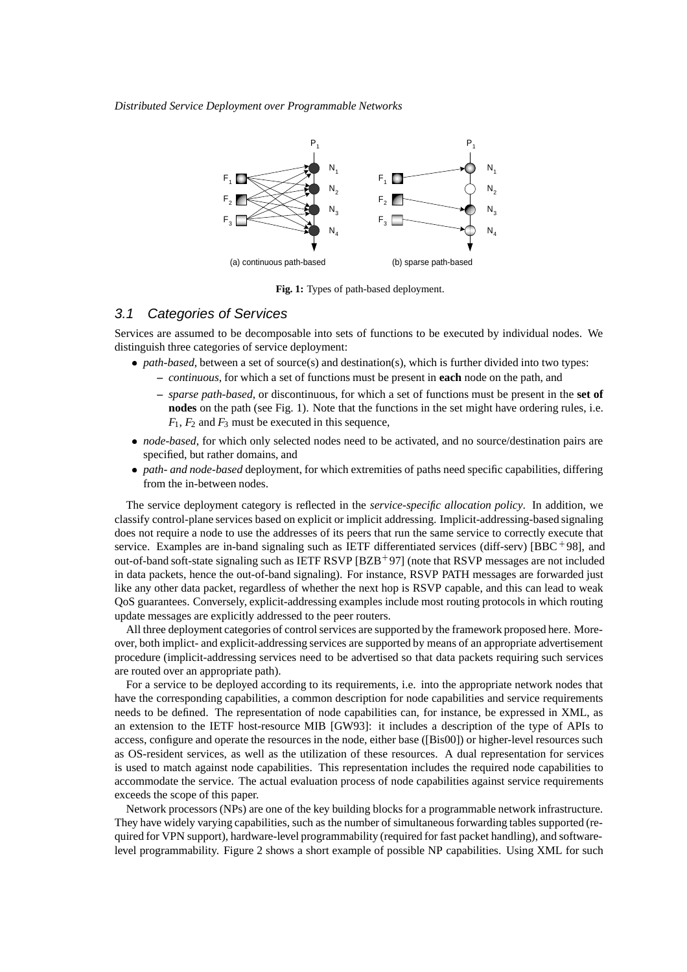*Distributed Service Deployment over Programmable Networks*



**Fig. 1:** Types of path-based deployment.

#### 3.1 Categories of Services

Services are assumed to be decomposable into sets of functions to be executed by individual nodes. We distinguish three categories of service deployment:

- *path-based*, between a set of source(s) and destination(s), which is further divided into two types: **–** *continuous*, for which a set of functions must be present in **each** node on the path, and
	- **–** *sparse path-based*, or discontinuous, for which a set of functions must be present in the **set of nodes** on the path (see Fig. 1). Note that the functions in the set might have ordering rules, i.e.  $F_1$ ,  $F_2$  and  $F_3$  must be executed in this sequence,
- *node-based*, for which only selected nodes need to be activated, and no source/destination pairs are specified, but rather domains, and
- *path- and node-based* deployment, for which extremities of paths need specific capabilities, differing from the in-between nodes.

The service deployment category is reflected in the *service-specific allocation policy*. In addition, we classify control-plane services based on explicit or implicit addressing. Implicit-addressing-based signaling does not require a node to use the addresses of its peers that run the same service to correctly execute that service. Examples are in-band signaling such as IETF differentiated services (diff-serv) [BBC+98], and out-of-band soft-state signaling such as IETF RSVP [BZB+97] (note that RSVP messages are not included in data packets, hence the out-of-band signaling). For instance, RSVP PATH messages are forwarded just like any other data packet, regardless of whether the next hop is RSVP capable, and this can lead to weak QoS guarantees. Conversely, explicit-addressing examples include most routing protocols in which routing update messages are explicitly addressed to the peer routers.

All three deployment categories of control services are supported by the framework proposed here. Moreover, both implict- and explicit-addressing services are supported by means of an appropriate advertisement procedure (implicit-addressing services need to be advertised so that data packets requiring such services are routed over an appropriate path).

For a service to be deployed according to its requirements, i.e. into the appropriate network nodes that have the corresponding capabilities, a common description for node capabilities and service requirements needs to be defined. The representation of node capabilities can, for instance, be expressed in XML, as an extension to the IETF host-resource MIB [GW93]: it includes a description of the type of APIs to access, configure and operate the resources in the node, either base ([Bis00]) or higher-level resources such as OS-resident services, as well as the utilization of these resources. A dual representation for services is used to match against node capabilities. This representation includes the required node capabilities to accommodate the service. The actual evaluation process of node capabilities against service requirements exceeds the scope of this paper.

Network processors (NPs) are one of the key building blocks for a programmable network infrastructure. They have widely varying capabilities, such as the number of simultaneous forwarding tables supported (required for VPN support), hardware-level programmability (required for fast packet handling), and softwarelevel programmability. Figure 2 shows a short example of possible NP capabilities. Using XML for such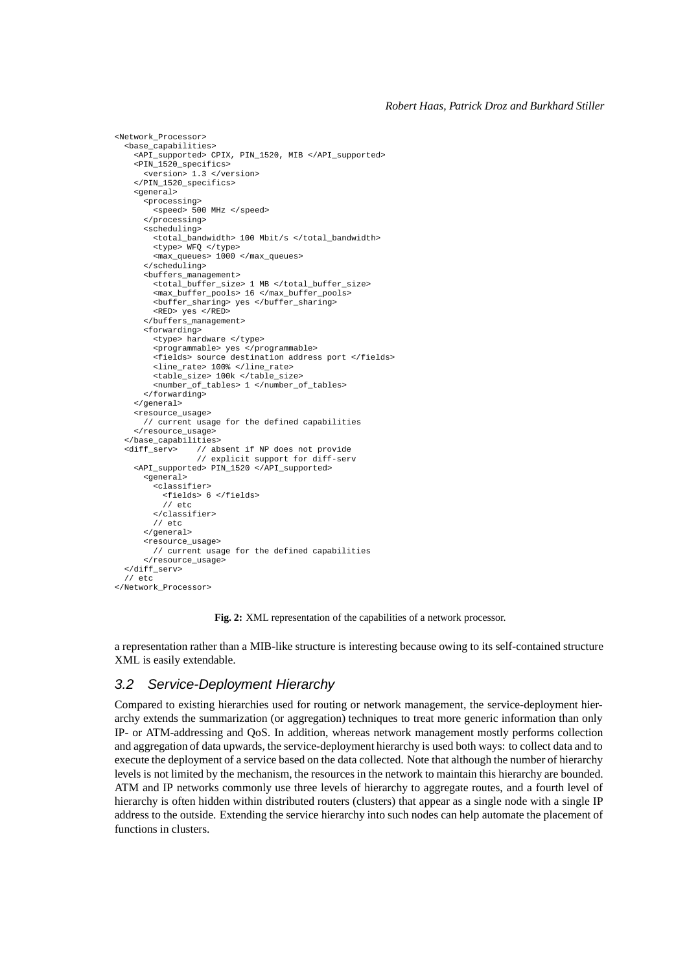```
<Network_Processor>
  <base_capabilities>
    <API_supported> CPIX, PIN_1520, MIB </API_supported>
    <PIN_1520_specifics>
      <version> 1.3 </version>
    </PIN_1520_specifics>
    <general>
      <processing>
        <speed> 500 MHz </speed>
      </processing>
      <scheduling>

        <type> WFQ </type>
        <max_queues> 1000 </max_queues>
      </scheduling>
      <buffers_management>
        <total_buffer_size> 1 MB </total_buffer_size>
        <max_buffer_pools> 16 </max_buffer_pools>
<buffer_sharing> yes </buffer_sharing>
        <RED> yes </RED>
      </buffers_management>
      <forwarding>
        <type> hardware </type>
        <programmable> yes </programmable>
        <fields> source destination address port </fields>
        <line_rate> 100% </line_rate>
        <table_size> 100k </table_size>
        <number_of_tables> 1 </number_of_tables>
      </forwarding>
   </general>
   <resource_usage>
      // current usage for the defined capabilities
    </resource_usage>
  </base_capabilities>
  <diff_serv> // absent if NP does not provide
// explicit support for diff-serv
    <API_supported> PIN_1520 </API_supported>
      <general>
        <classifier>
         <fields> 6 </fields>
          // etc
        </classifier>
        1/ etc.
      </general>
      <resource_usage>
        // current usage for the defined capabilities
      </resource_usage>
  </diff_serv>
  1/ etc
</Network_Processor>
```
**Fig. 2:** XML representation of the capabilities of a network processor.

a representation rather than a MIB-like structure is interesting because owing to its self-contained structure XML is easily extendable.

#### 3.2 Service-Deployment Hierarchy

Compared to existing hierarchies used for routing or network management, the service-deployment hierarchy extends the summarization (or aggregation) techniques to treat more generic information than only IP- or ATM-addressing and QoS. In addition, whereas network management mostly performs collection and aggregation of data upwards, the service-deployment hierarchy is used both ways: to collect data and to execute the deployment of a service based on the data collected. Note that although the number of hierarchy levels is not limited by the mechanism, the resources in the network to maintain this hierarchy are bounded. ATM and IP networks commonly use three levels of hierarchy to aggregate routes, and a fourth level of hierarchy is often hidden within distributed routers (clusters) that appear as a single node with a single IP address to the outside. Extending the service hierarchy into such nodes can help automate the placement of functions in clusters.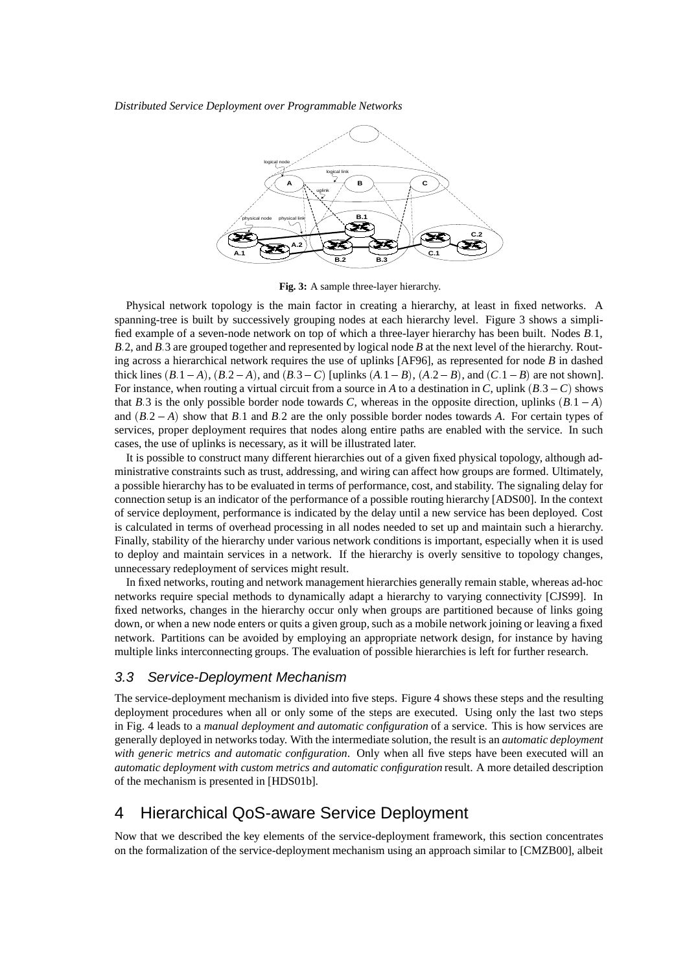*Distributed Service Deployment over Programmable Networks*



**Fig. 3:** A sample three-layer hierarchy.

Physical network topology is the main factor in creating a hierarchy, at least in fixed networks. A spanning-tree is built by successively grouping nodes at each hierarchy level. Figure 3 shows a simplified example of a seven-node network on top of which a three-layer hierarchy has been built. Nodes *B*:1, *B*:2, and *B*:3 are grouped together and represented by logical node *B* at the next level of the hierarchy. Routing across a hierarchical network requires the use of uplinks [AF96], as represented for node *B* in dashed thick lines  $(B.1-A)$ ,  $(B.2-A)$ , and  $(B.3-C)$  [uplinks  $(A.1-B)$ ,  $(A.2-B)$ , and  $(C.1-B)$  are not shown]. For instance, when routing a virtual circuit from a source in *A* to a destination in *C*, uplink (*B*:3 *C*) shows that *B*:3 is the only possible border node towards *C*, whereas in the opposite direction, uplinks  $(B.1 - A)$ and  $(B.2 - A)$  show that *B*.1 and *B*.2 are the only possible border nodes towards *A*. For certain types of services, proper deployment requires that nodes along entire paths are enabled with the service. In such cases, the use of uplinks is necessary, as it will be illustrated later.

It is possible to construct many different hierarchies out of a given fixed physical topology, although administrative constraints such as trust, addressing, and wiring can affect how groups are formed. Ultimately, a possible hierarchy has to be evaluated in terms of performance, cost, and stability. The signaling delay for connection setup is an indicator of the performance of a possible routing hierarchy [ADS00]. In the context of service deployment, performance is indicated by the delay until a new service has been deployed. Cost is calculated in terms of overhead processing in all nodes needed to set up and maintain such a hierarchy. Finally, stability of the hierarchy under various network conditions is important, especially when it is used to deploy and maintain services in a network. If the hierarchy is overly sensitive to topology changes, unnecessary redeployment of services might result.

In fixed networks, routing and network management hierarchies generally remain stable, whereas ad-hoc networks require special methods to dynamically adapt a hierarchy to varying connectivity [CJS99]. In fixed networks, changes in the hierarchy occur only when groups are partitioned because of links going down, or when a new node enters or quits a given group, such as a mobile network joining or leaving a fixed network. Partitions can be avoided by employing an appropriate network design, for instance by having multiple links interconnecting groups. The evaluation of possible hierarchies is left for further research.

#### 3.3 Service-Deployment Mechanism

The service-deployment mechanism is divided into five steps. Figure 4 shows these steps and the resulting deployment procedures when all or only some of the steps are executed. Using only the last two steps in Fig. 4 leads to a *manual deployment and automatic configuration* of a service. This is how services are generally deployed in networks today. With the intermediate solution, the result is an *automatic deployment with generic metrics and automatic configuration*. Only when all five steps have been executed will an *automatic deployment with custom metrics and automatic configuration* result. A more detailed description of the mechanism is presented in [HDS01b].

# 4 Hierarchical QoS-aware Service Deployment

Now that we described the key elements of the service-deployment framework, this section concentrates on the formalization of the service-deployment mechanism using an approach similar to [CMZB00], albeit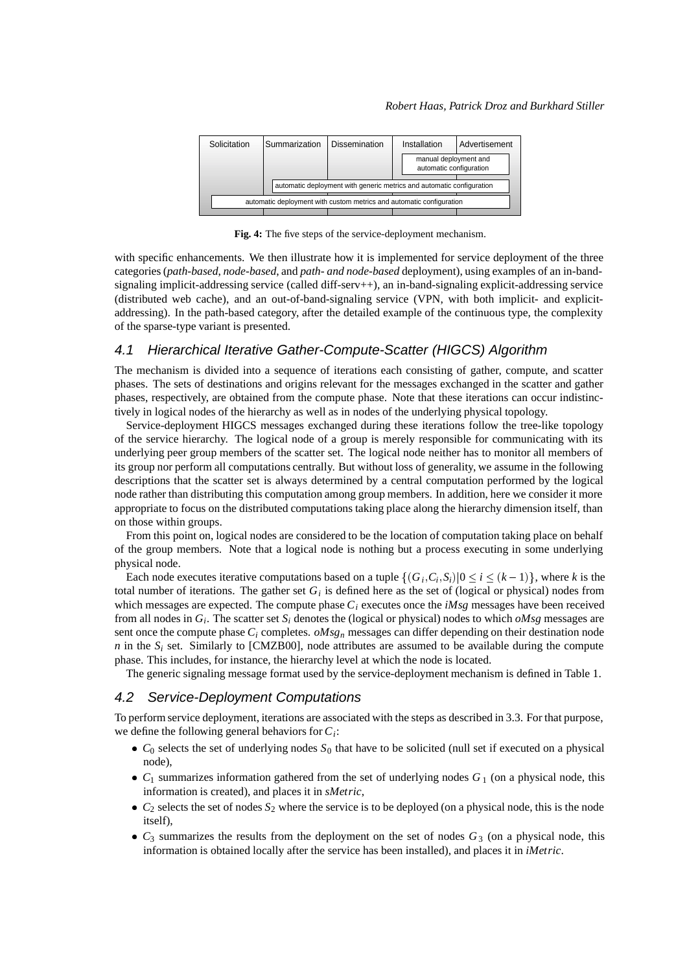| Solicitation                                                         | Summarization                                                         | <b>Dissemination</b> | Installation                                     | Advertisement |
|----------------------------------------------------------------------|-----------------------------------------------------------------------|----------------------|--------------------------------------------------|---------------|
|                                                                      |                                                                       |                      | manual deployment and<br>automatic configuration |               |
|                                                                      | automatic deployment with generic metrics and automatic configuration |                      |                                                  |               |
| automatic deployment with custom metrics and automatic configuration |                                                                       |                      |                                                  |               |
|                                                                      |                                                                       |                      |                                                  |               |

**Fig. 4:** The five steps of the service-deployment mechanism.

with specific enhancements. We then illustrate how it is implemented for service deployment of the three categories (*path-based*, *node-based*, and *path- and node-based* deployment), using examples of an in-bandsignaling implicit-addressing service (called diff-serv++), an in-band-signaling explicit-addressing service (distributed web cache), and an out-of-band-signaling service (VPN, with both implicit- and explicitaddressing). In the path-based category, after the detailed example of the continuous type, the complexity of the sparse-type variant is presented.

#### 4.1 Hierarchical Iterative Gather-Compute-Scatter (HIGCS) Algorithm

The mechanism is divided into a sequence of iterations each consisting of gather, compute, and scatter phases. The sets of destinations and origins relevant for the messages exchanged in the scatter and gather phases, respectively, are obtained from the compute phase. Note that these iterations can occur indistinctively in logical nodes of the hierarchy as well as in nodes of the underlying physical topology.

Service-deployment HIGCS messages exchanged during these iterations follow the tree-like topology of the service hierarchy. The logical node of a group is merely responsible for communicating with its underlying peer group members of the scatter set. The logical node neither has to monitor all members of its group nor perform all computations centrally. But without loss of generality, we assume in the following descriptions that the scatter set is always determined by a central computation performed by the logical node rather than distributing this computation among group members. In addition, here we consider it more appropriate to focus on the distributed computations taking place along the hierarchy dimension itself, than on those within groups.

From this point on, logical nodes are considered to be the location of computation taking place on behalf of the group members. Note that a logical node is nothing but a process executing in some underlying physical node.

Each node executes iterative computations based on a tuple  $\{(G_i, C_i, S_i) | 0 \le i \le (k-1)\}\,$ , where *k* is the total number of iterations. The gather set  $G_i$  is defined here as the set of (logical or physical) nodes from which messages are expected. The compute phase  $C_i$  executes once the *iMsg* messages have been received from all nodes in  $G_i$ . The scatter set  $S_i$  denotes the (logical or physical) nodes to which *oMsg* messages are sent once the compute phase *Ci* completes. *oMsgn* messages can differ depending on their destination node *n* in the  $S_i$  set. Similarly to [CMZB00], node attributes are assumed to be available during the compute phase. This includes, for instance, the hierarchy level at which the node is located.

The generic signaling message format used by the service-deployment mechanism is defined in Table 1.

#### 4.2 Service-Deployment Computations

To perform service deployment, iterations are associated with the steps as described in 3.3. For that purpose, we define the following general behaviors for *Ci*:

- $\bullet$   $C_0$  selects the set of underlying nodes  $S_0$  that have to be solicited (null set if executed on a physical node),
- $\bullet$   $C_1$  summarizes information gathered from the set of underlying nodes  $G_1$  (on a physical node, this information is created), and places it in *sMetric*,
- $C_2$  selects the set of nodes  $S_2$  where the service is to be deployed (on a physical node, this is the node itself),
- $C_3$  summarizes the results from the deployment on the set of nodes  $G_3$  (on a physical node, this information is obtained locally after the service has been installed), and places it in *iMetric*.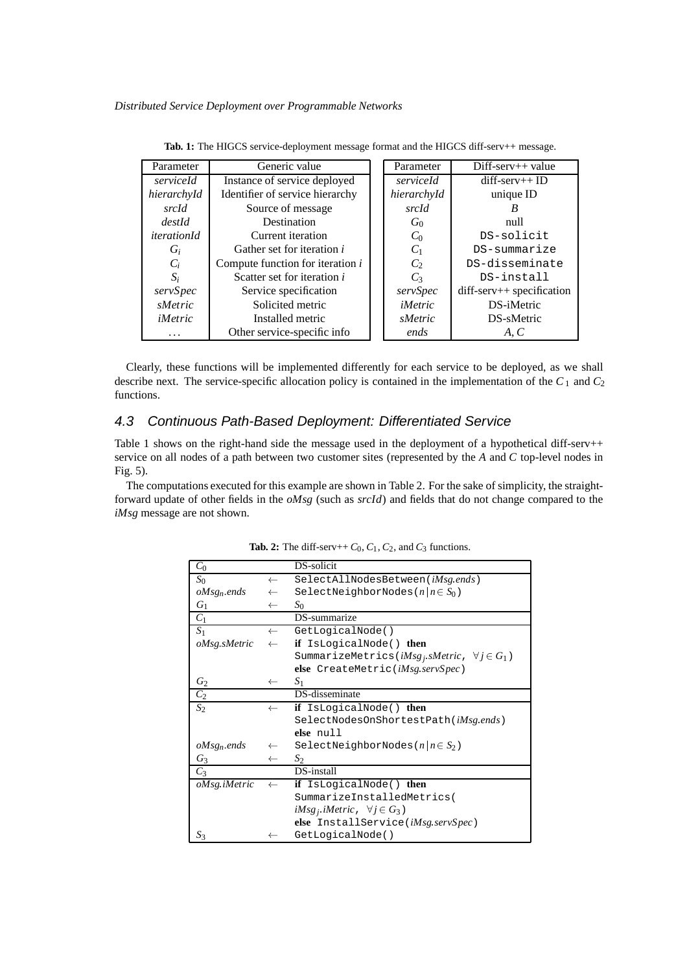| Parameter          | Generic value                     |  | Parameter      | $Diff-server++ value$        |
|--------------------|-----------------------------------|--|----------------|------------------------------|
| serviceId          | Instance of service deployed      |  | serviceId      | $diff$ -serv++ ID            |
| hierarchyId        | Identifier of service hierarchy   |  | hierarchyId    | unique ID                    |
| srcId              | Source of message                 |  | srcId          | В                            |
| destId             | Destination                       |  | $G_0$          | null                         |
| <i>iterationId</i> | Current iteration                 |  | $C_0$          | DS-solicit                   |
| $G_i$              | Gather set for iteration <i>i</i> |  | $C_1$          | DS-summarize                 |
| $C_i$              | Compute function for iteration i  |  | $C_2$          | DS-disseminate               |
| $S_i$              | Scatter set for iteration i       |  | $C_3$          | DS-install                   |
| servSpec           | Service specification             |  | servSpec       | $diff$ -serv++ specification |
| sMetric            | Solicited metric                  |  | <i>iMetric</i> | DS-iMetric                   |
| <i>iMetric</i>     | Installed metric                  |  | sMetric        | DS-sMetric                   |
| .                  | Other service-specific info       |  | ends           | A, C                         |

Tab. 1: The HIGCS service-deployment message format and the HIGCS diff-serv++ message.

Clearly, these functions will be implemented differently for each service to be deployed, as we shall describe next. The service-specific allocation policy is contained in the implementation of the *C*<sup>1</sup> and *C*<sup>2</sup> functions.

#### 4.3 Continuous Path-Based Deployment: Differentiated Service

Table 1 shows on the right-hand side the message used in the deployment of a hypothetical diff-serv++ service on all nodes of a path between two customer sites (represented by the *A* and *C* top-level nodes in Fig. 5).

The computations executed for this example are shown in Table 2. For the sake of simplicity, the straightforward update of other fields in the *oMsg* (such as *srcId*) and fields that do not change compared to the *iMsg* message are not shown.

| $C_0$                   |              | DS-solicit                                                  |
|-------------------------|--------------|-------------------------------------------------------------|
| $S_0$                   | $\leftarrow$ | SelectAllNodesBetween( <i>iMsg.ends</i> )                   |
| oMsg <sub>n</sub> .ends | $\leftarrow$ | SelectNeighborNodes $(n   n \in S_0)$                       |
| $G_1$                   | $\leftarrow$ | $S_0$                                                       |
| $C_1$                   |              | DS-summarize                                                |
| S <sub>1</sub>          | $\leftarrow$ | GetLogicalNode()                                            |
| oMsg.sMetric            | $\leftarrow$ | if IsLogicalNode() then                                     |
|                         |              | SummarizeMetrics( $iMsg_j$ , sMetric, $\forall j \in G_1$ ) |
|                         |              | else CreateMetric(iMsg.servSpec)                            |
| $G_2$                   | $\leftarrow$ | $S_1$                                                       |
| C <sub>2</sub>          |              | DS-disseminate                                              |
| $S_2$                   | $\leftarrow$ | if IsLogicalNode() then                                     |
|                         |              | SelectNodesOnShortestPath(iMsg.ends)                        |
|                         |              | else null                                                   |
| $oMsg_n$ ends           | $\leftarrow$ | SelectNeighborNodes $(n   n \in S_2)$                       |
| $G_3$                   | $\leftarrow$ | $S_2$                                                       |
| $C_3$                   |              | DS-install                                                  |
| oMsg iMetric            | $\leftarrow$ | if IsLogicalNode() then                                     |
|                         |              | SummarizeInstalledMetrics(                                  |
|                         |              | $iMsg_j$ iMetric, $\forall j \in G_3$ )                     |
|                         |              | else InstallService( <i>iMsg.servSpec</i> )                 |
| $S_3$                   |              | GetLogicalNode()                                            |

**Tab. 2:** The diff-serv++ $C_0$ ,  $C_1$ ,  $C_2$ , and  $C_3$  functions.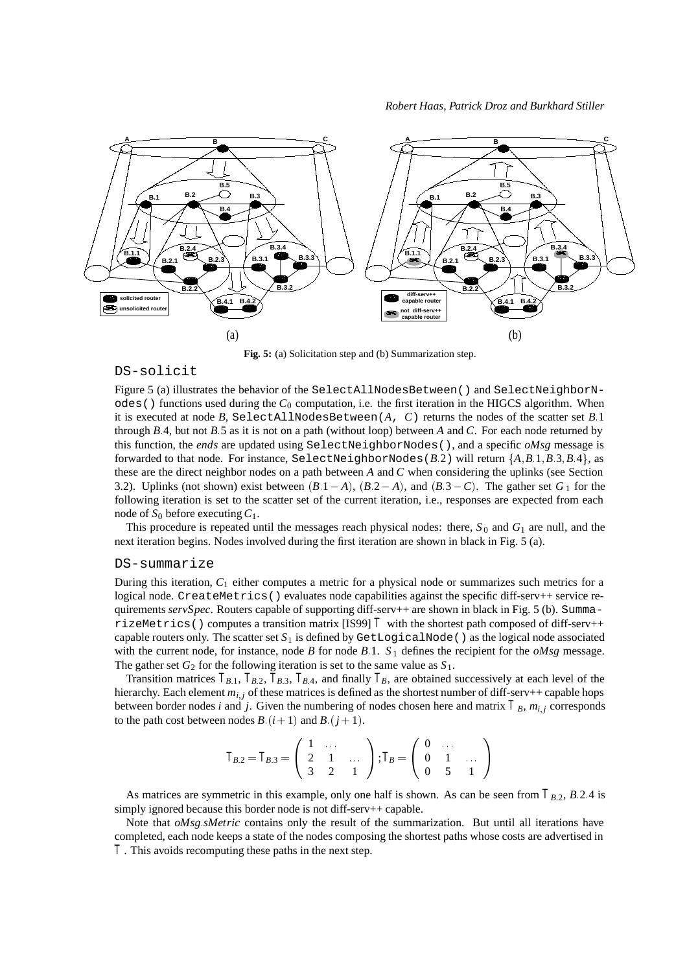

**Fig. 5:** (a) Solicitation step and (b) Summarization step.

#### DS-solicit

Figure 5 (a) illustrates the behavior of the SelectAllNodesBetween() and SelectNeighborN- $\alpha$ des() functions used during the  $C_0$  computation, i.e. the first iteration in the HIGCS algorithm. When it is executed at node  $B$ , SelectAllNodesBetween( $A$ ,  $C$ ) returns the nodes of the scatter set  $B.1$ through *B*:4, but not *B*:5 as it is not on a path (without loop) between *A* and *C*. For each node returned by this function, the *ends* are updated using SelectNeighborNodes(), and a specific *oMsg* message is forwarded to that node. For instance, SelectNeighborNodes( $B.2$ ) will return  $\{A, B.1, B.3, B.4\}$ , as these are the direct neighbor nodes on a path between *A* and *C* when considering the uplinks (see Section 3.2). Uplinks (not shown) exist between  $(B.1 - A)$ ,  $(B.2 - A)$ , and  $(B.3 - C)$ . The gather set  $G<sub>1</sub>$  for the following iteration is set to the scatter set of the current iteration, i.e., responses are expected from each node of  $S_0$  before executing  $C_1$ .

This procedure is repeated until the messages reach physical nodes: there,  $S_0$  and  $G_1$  are null, and the next iteration begins. Nodes involved during the first iteration are shown in black in Fig. 5 (a).

#### DS-summarize

During this iteration, *C*<sup>1</sup> either computes a metric for a physical node or summarizes such metrics for a logical node. CreateMetrics() evaluates node capabilities against the specific diff-serv++ service requirements *servSpec*. Routers capable of supporting diff-serv++ are shown in black in Fig. 5 (b). SummarizeMetrics() computes a transition matrix [IS99]  $T$  with the shortest path composed of diff-serv++ capable routers only. The scatter set  $S_1$  is defined by GetLogicalNode() as the logical node associated with the current node, for instance, node *B* for node *B*:1.  $S_1$  defines the recipient for the *oMsg* message. The gather set  $G_2$  for the following iteration is set to the same value as  $S_1$ .

Transition matrices  $T_{B,1}$ ,  $T_{B,2}$ ,  $T_{B,3}$ ,  $T_{B,4}$ , and finally  $T_B$ , are obtained successively at each level of the hierarchy. Each element  $m_{i,j}$  of these matrices is defined as the shortest number of diff-serv++ capable hops between border nodes *i* and *j*. Given the numbering of nodes chosen here and matrix  $T_B$ ,  $m_{i,j}$  corresponds to the path cost between nodes *B*:  $(i + 1)$  and *B*:  $(j + 1)$ .

$$
T_{B,2}=T_{B,3}=\left(\begin{array}{ccc}1 & \dots & \cr 2 & 1 & \dots \cr 3 & 2 & 1\end{array}\right); T_B=\left(\begin{array}{ccc}0 & \dots & \cr 0 & 1 & \dots \cr 0 & 5 & 1\end{array}\right)
$$

As matrices are symmetric in this example, only one half is shown. As can be seen from  $T_{B,2}$ ,  $B.2.4$  is simply ignored because this border node is not diff-serv++ capable.

Note that *oMsg*:*sMetric* contains only the result of the summarization. But until all iterations have completed, each node keeps a state of the nodes composing the shortest paths whose costs are advertised in *T* . This avoids recomputing these paths in the next step.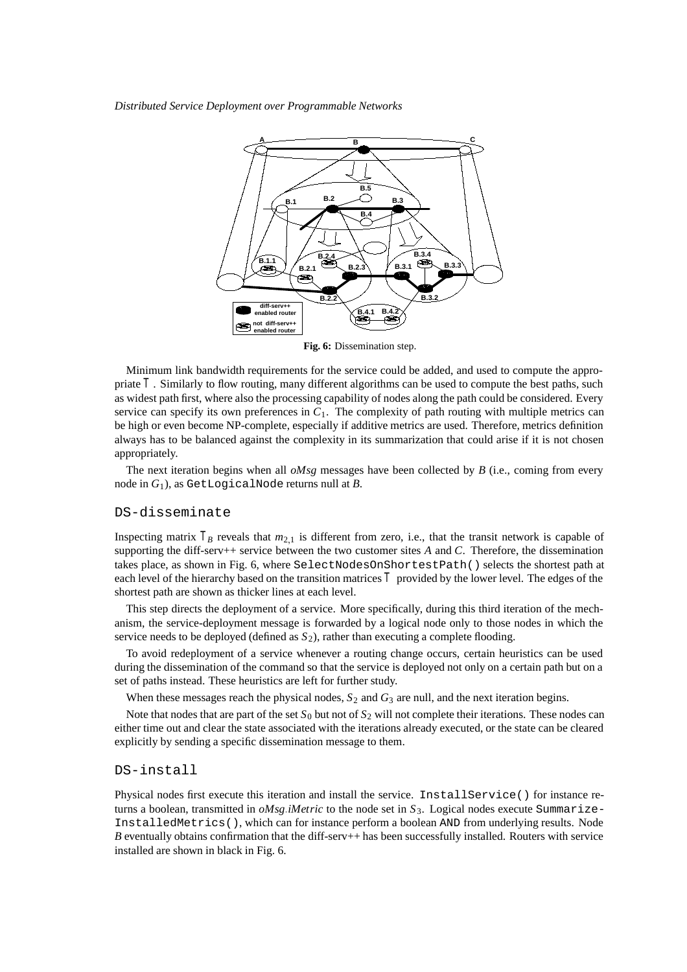*Distributed Service Deployment over Programmable Networks*



**Fig. 6:** Dissemination step.

Minimum link bandwidth requirements for the service could be added, and used to compute the appropriate *T* . Similarly to flow routing, many different algorithms can be used to compute the best paths, such as widest path first, where also the processing capability of nodes along the path could be considered. Every service can specify its own preferences in  $C_1$ . The complexity of path routing with multiple metrics can be high or even become NP-complete, especially if additive metrics are used. Therefore, metrics definition always has to be balanced against the complexity in its summarization that could arise if it is not chosen appropriately.

The next iteration begins when all *oMsg* messages have been collected by *B* (i.e., coming from every node in *G*1), as GetLogicalNode returns null at *B*.

#### DS-disseminate

Inspecting matrix  $T_B$  reveals that  $m_{2,1}$  is different from zero, i.e., that the transit network is capable of supporting the diff-serv++ service between the two customer sites *A* and *C*. Therefore, the dissemination takes place, as shown in Fig. 6, where SelectNodesOnShortestPath() selects the shortest path at each level of the hierarchy based on the transition matrices *T* provided by the lower level. The edges of the shortest path are shown as thicker lines at each level.

This step directs the deployment of a service. More specifically, during this third iteration of the mechanism, the service-deployment message is forwarded by a logical node only to those nodes in which the service needs to be deployed (defined as  $S_2$ ), rather than executing a complete flooding.

To avoid redeployment of a service whenever a routing change occurs, certain heuristics can be used during the dissemination of the command so that the service is deployed not only on a certain path but on a set of paths instead. These heuristics are left for further study.

When these messages reach the physical nodes,  $S_2$  and  $G_3$  are null, and the next iteration begins.

Note that nodes that are part of the set *S*<sup>0</sup> but not of *S*<sup>2</sup> will not complete their iterations. These nodes can either time out and clear the state associated with the iterations already executed, or the state can be cleared explicitly by sending a specific dissemination message to them.

#### DS-install

Physical nodes first execute this iteration and install the service. InstallService() for instance returns a boolean, transmitted in *oMsg*:*iMetric* to the node set in *S*3. Logical nodes execute Summarize-InstalledMetrics(), which can for instance perform a boolean AND from underlying results. Node *B* eventually obtains confirmation that the diff-serv++ has been successfully installed. Routers with service installed are shown in black in Fig. 6.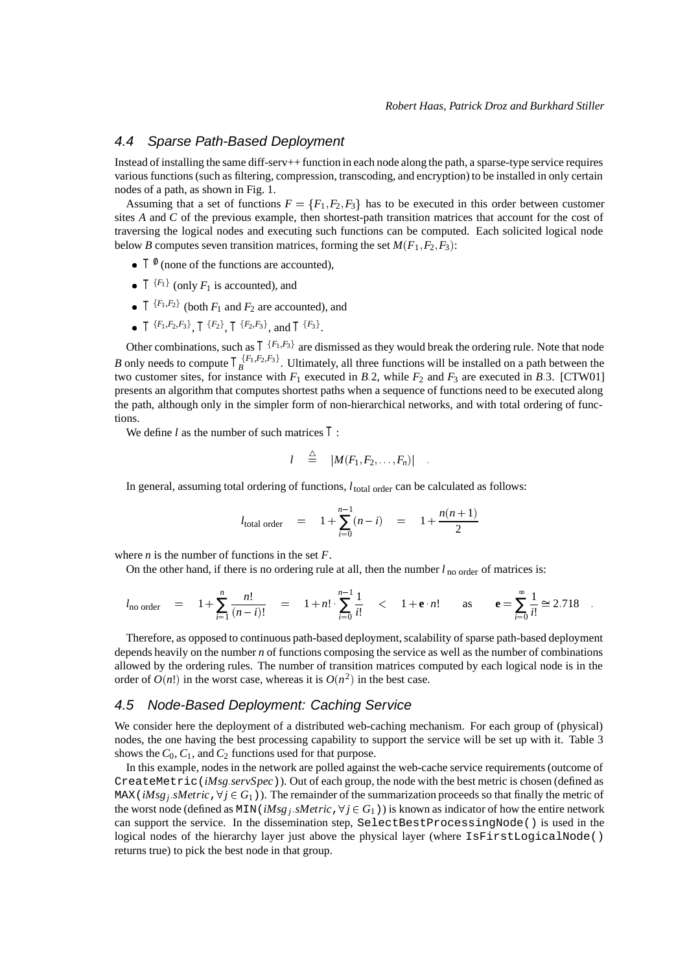#### 4.4 Sparse Path-Based Deployment

Instead of installing the same diff-serv++ function in each node along the path, a sparse-type service requires various functions (such as filtering, compression, transcoding, and encryption) to be installed in only certain nodes of a path, as shown in Fig. 1.

Assuming that a set of functions  $F = \{F_1, F_2, F_3\}$  has to be executed in this order between customer sites *A* and *C* of the previous example, then shortest-path transition matrices that account for the cost of traversing the logical nodes and executing such functions can be computed. Each solicited logical node below *B* computes seven transition matrices, forming the set  $M(F_1, F_2, F_3)$ :

- $T^{\emptyset}$  (none of the functions are accounted),
- $T^{\{F_1\}}$  (only  $F_1$  is accounted), and
- $T^{\{F_1, F_2\}}$  (both  $F_1$  and  $F_2$  are accounted), and
- $T^{\{F_1, F_2, F_3\}}$ ,  $T^{\{F_2\}}$ ,  $T^{\{F_2, F_3\}}$ , and  $T^{\{F_3\}}$ .

Other combinations, such as  $T^{\{F_1,F_3\}}$  are dismissed as they would break the ordering rule. Note that node *B* only needs to compute  $T_B^{\{F_1, F_2, F_3\}}$ . Ultimately, all three functions will be installed on a path between the two customer sites, for instance with  $F_1$  executed in *B*:2, while  $F_2$  and  $F_3$  are executed in *B*:3. [CTW01] presents an algorithm that computes shortest paths when a sequence of functions need to be executed along the path, although only in the simpler form of non-hierarchical networks, and with total ordering of functions.

We define *l* as the number of such matrices *T* :

$$
l \quad \stackrel{\triangle}{=} \quad |M(F_1, F_2, \ldots, F_n)| \quad .
$$

In general, assuming total ordering of functions,  $l_{total\ order}$  can be calculated as follows:

$$
l_{\text{total order}} = 1 + \sum_{i=0}^{n-1} (n-i) = 1 + \frac{n(n+1)}{2}
$$

where  $n$  is the number of functions in the set  $F$ .

On the other hand, if there is no ordering rule at all, then the number  $l_{\text{no order}}$  of matrices is:

$$
l_{\text{no order}} = 1 + \sum_{i=1}^{n} \frac{n!}{(n-i)!} = 1 + n! \cdot \sum_{i=0}^{n-1} \frac{1}{i!} < 1 + e \cdot n!
$$
 as  $e = \sum_{i=0}^{\infty} \frac{1}{i!} \approx 2.718$ .

Therefore, as opposed to continuous path-based deployment, scalability of sparse path-based deployment depends heavily on the number *n* of functions composing the service as well as the number of combinations allowed by the ordering rules. The number of transition matrices computed by each logical node is in the order of  $O(n!)$  in the worst case, whereas it is  $O(n^2)$  in the best case.

#### 4.5 Node-Based Deployment: Caching Service

We consider here the deployment of a distributed web-caching mechanism. For each group of (physical) nodes, the one having the best processing capability to support the service will be set up with it. Table 3 shows the  $C_0$ ,  $C_1$ , and  $C_2$  functions used for that purpose.

In this example, nodes in the network are polled against the web-cache service requirements (outcome of CreateMetric(*iMsg*:*servSpec*)). Out of each group, the node with the best metric is chosen (defined as MAX (*iMsg<sub>i</sub>* :*sMetric*,  $\forall j \in G_1$ )). The remainder of the summarization proceeds so that finally the metric of the worst node (defined as MIN( $iMsg$  *j*, *sMetric*,  $\forall j \in G_1$ )) is known as indicator of how the entire network can support the service. In the dissemination step, SelectBestProcessingNode() is used in the logical nodes of the hierarchy layer just above the physical layer (where IsFirstLogicalNode() returns true) to pick the best node in that group.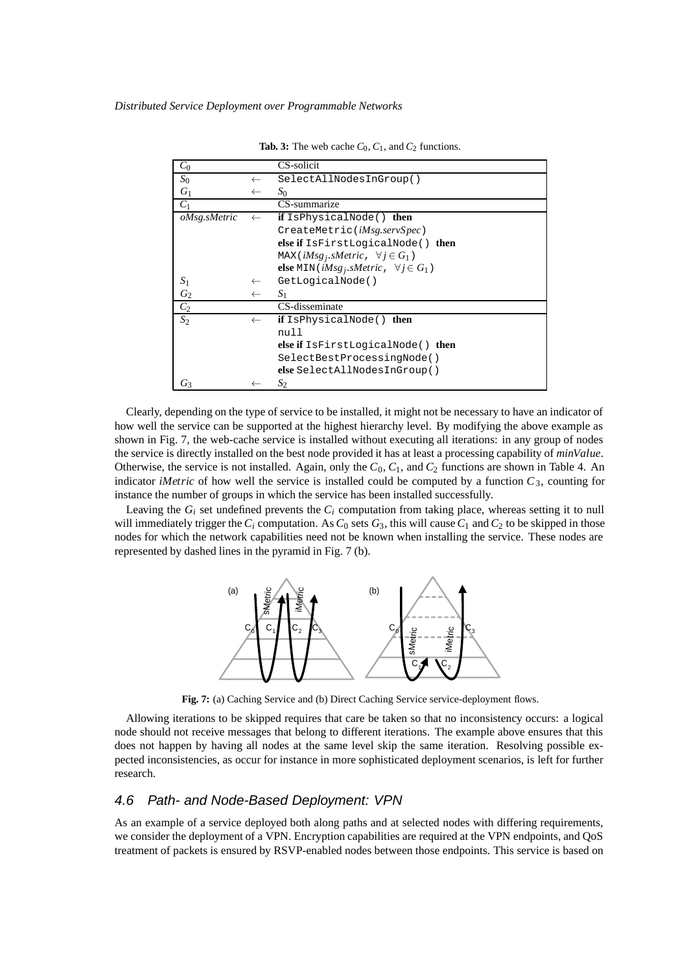| $C_0$          |              | CS-solicit                                                         |
|----------------|--------------|--------------------------------------------------------------------|
| $S_0$          | $\leftarrow$ | SelectAllNodesInGroup()                                            |
| $G_1$          | $\leftarrow$ | $S_0$                                                              |
| $C_1$          |              | CS-summarize                                                       |
| oMsg.sMetric   | $\leftarrow$ | <b>if</b> IsPhysicalNode() <b>then</b>                             |
|                |              | CreateMetric( <i>iMsg.servSpec</i> )                               |
|                |              | else if IsFirstLogicalNode() then                                  |
|                |              | MAX( $iMsg_j$ , sMetric, $\forall j \in G_1$ )                     |
|                |              | <b>else</b> MIN( $iMsg_j$ , <i>sMetric</i> , $\forall j \in G_1$ ) |
| S <sub>1</sub> | $\leftarrow$ | GetLogicalNode()                                                   |
| G <sub>2</sub> | $\leftarrow$ | S <sub>1</sub>                                                     |
| C <sub>2</sub> |              | CS-disseminate                                                     |
| $S_2$          | $\leftarrow$ | <b>if</b> IsPhysicalNode()<br>then                                 |
|                |              | null                                                               |
|                |              | else if IsFirstLogicalNode() then                                  |
|                |              | SelectBestProcessingNode()                                         |
|                |              | else SelectAllNodesInGroup()                                       |
| Ġ٦             |              | $S_2$                                                              |

**Tab. 3:** The web cache  $C_0$ ,  $C_1$ , and  $C_2$  functions.

Clearly, depending on the type of service to be installed, it might not be necessary to have an indicator of how well the service can be supported at the highest hierarchy level. By modifying the above example as shown in Fig. 7, the web-cache service is installed without executing all iterations: in any group of nodes the service is directly installed on the best node provided it has at least a processing capability of *minValue*. Otherwise, the service is not installed. Again, only the *C*0, *C*1, and *C*<sup>2</sup> functions are shown in Table 4. An indicator *iMetric* of how well the service is installed could be computed by a function  $C_3$ , counting for instance the number of groups in which the service has been installed successfully.

Leaving the  $G_i$  set undefined prevents the  $C_i$  computation from taking place, whereas setting it to null will immediately trigger the  $C_i$  computation. As  $C_0$  sets  $G_3$ , this will cause  $C_1$  and  $C_2$  to be skipped in those nodes for which the network capabilities need not be known when installing the service. These nodes are represented by dashed lines in the pyramid in Fig. 7 (b).



**Fig. 7:** (a) Caching Service and (b) Direct Caching Service service-deployment flows.

Allowing iterations to be skipped requires that care be taken so that no inconsistency occurs: a logical node should not receive messages that belong to different iterations. The example above ensures that this does not happen by having all nodes at the same level skip the same iteration. Resolving possible expected inconsistencies, as occur for instance in more sophisticated deployment scenarios, is left for further research.

#### 4.6 Path- and Node-Based Deployment: VPN

As an example of a service deployed both along paths and at selected nodes with differing requirements, we consider the deployment of a VPN. Encryption capabilities are required at the VPN endpoints, and QoS treatment of packets is ensured by RSVP-enabled nodes between those endpoints. This service is based on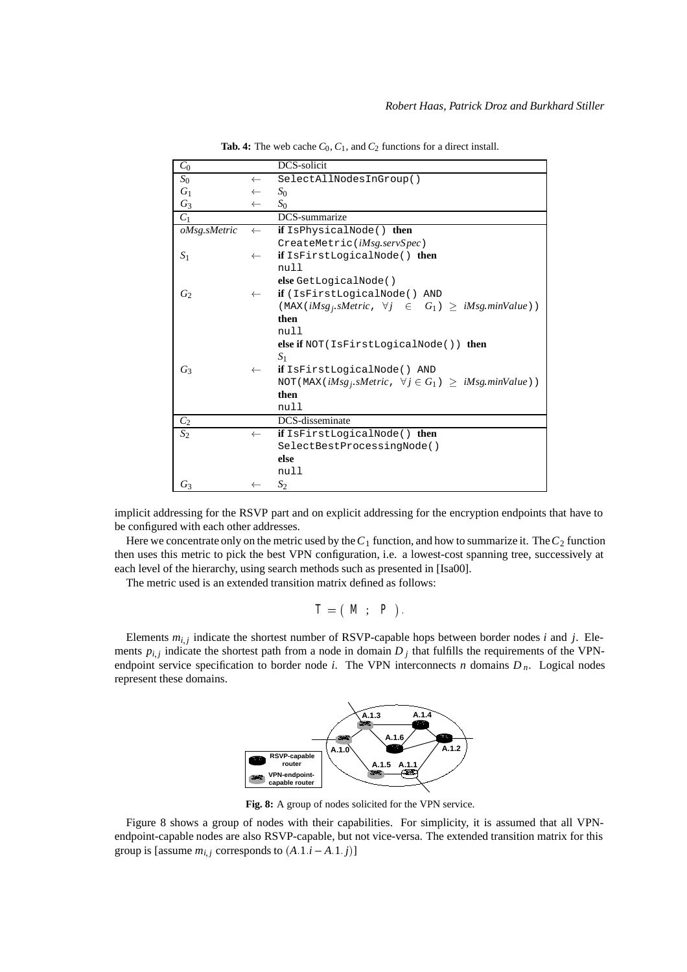| $C_0$            |              | DCS-solicit                                                                |
|------------------|--------------|----------------------------------------------------------------------------|
| $S_0$            | $\leftarrow$ | SelectAllNodesInGroup()                                                    |
| $G_1$            | $\leftarrow$ | $S_0$                                                                      |
| $G_3$            | $\leftarrow$ | $S_0$                                                                      |
| $C_1$            |              | DCS-summarize                                                              |
| oMsg.sMetric     | $\leftarrow$ | if IsPhysicalNode() then                                                   |
|                  |              | CreateMetric(iMsg.servSpec)                                                |
| $S_1$            | $\leftarrow$ | if IsFirstLogicalNode() then                                               |
|                  |              | null                                                                       |
|                  |              | else GetLogicalNode()                                                      |
| $G_2$            | $\leftarrow$ | if (IsFirstLogicalNode() AND                                               |
|                  |              | (MAX( $iMsg_i$ , sMetric, $\forall j \in G_1$ ) $\geq iMsg.minValue$ )     |
|                  |              | then                                                                       |
|                  |              | null                                                                       |
|                  |              | else if $NOT (IsFirstLogicalNode())$ then                                  |
|                  |              | S <sub>1</sub>                                                             |
| $G_3$            | $\leftarrow$ | <b>if</b> IsFirstLogicalNode() AND                                         |
|                  |              | NOT (MAX( $iMsg_j$ , sMetric, $\forall j \in G_1$ ) $\geq iMsg.minValue$ ) |
|                  |              | then                                                                       |
|                  |              | null                                                                       |
| $C_2$            |              | DCS-disseminate                                                            |
| $\overline{S_2}$ | $\leftarrow$ | if IsFirstLogicalNode() then                                               |
|                  |              | SelectBestProcessingNode()                                                 |
|                  |              | else                                                                       |
|                  |              | null                                                                       |
| $G_3$            |              | $S_2$                                                                      |

**Tab. 4:** The web cache  $C_0$ ,  $C_1$ , and  $C_2$  functions for a direct install.

implicit addressing for the RSVP part and on explicit addressing for the encryption endpoints that have to be configured with each other addresses.

Here we concentrate only on the metric used by the  $C_1$  function, and how to summarize it. The  $C_2$  function then uses this metric to pick the best VPN configuration, i.e. a lowest-cost spanning tree, successively at each level of the hierarchy, using search methods such as presented in [Isa00].

The metric used is an extended transition matrix defined as follows:

$$
T=\left(\begin{array}{ccc}M\ ; & P\end{array}\right).
$$

Elements  $m_{i,j}$  indicate the shortest number of RSVP-capable hops between border nodes *i* and *j*. Elements  $p_{i,j}$  indicate the shortest path from a node in domain  $D_j$  that fulfills the requirements of the VPNendpoint service specification to border node *i*. The VPN interconnects *n* domains  $D_n$ . Logical nodes represent these domains.



**Fig. 8:** A group of nodes solicited for the VPN service.

Figure 8 shows a group of nodes with their capabilities. For simplicity, it is assumed that all VPNendpoint-capable nodes are also RSVP-capable, but not vice-versa. The extended transition matrix for this group is [assume  $m_{i,j}$  corresponds to  $(A.1 \text{ } i - A.1 \text{ } j)$ ]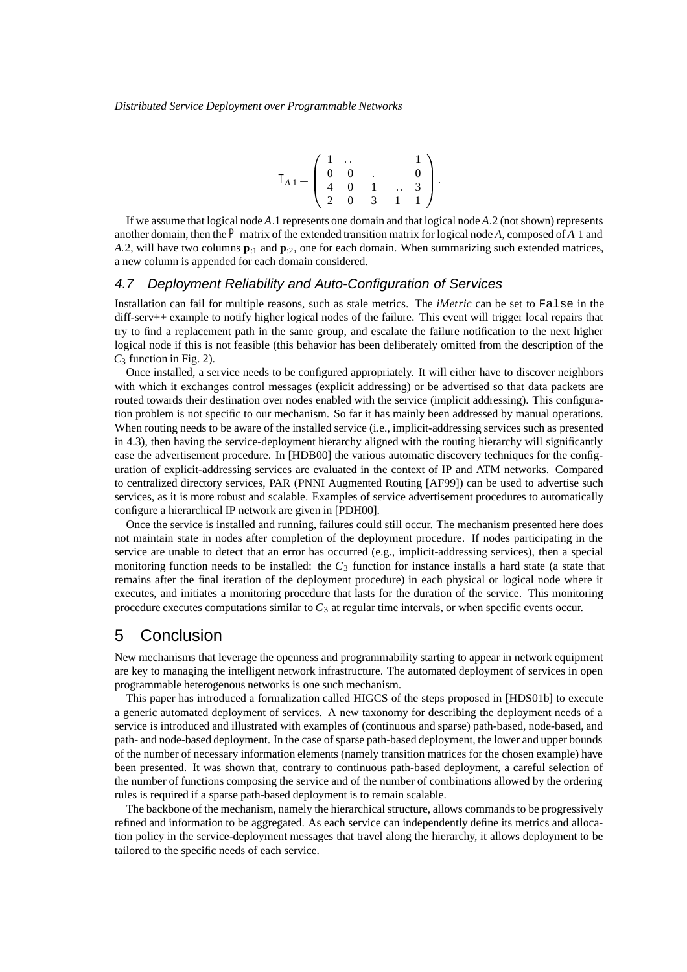$$
T_{A.1} = \left(\begin{array}{cccc} 1 & \dots & & & 1 \\ 0 & 0 & & & & 0 \\ 4 & 0 & 1 & \dots & 3 \\ 2 & 0 & 3 & 1 & 1 \end{array}\right).
$$

If we assume that logical node *A*:1 represents one domain and that logical node *A*:2 (not shown) represents another domain, then the *P* matrix of the extended transition matrix for logical node *A*, composed of *A*:1 and *A*:2, will have two columns **p**:1 and **p**:2, one for each domain. When summarizing such extended matrices, a new column is appended for each domain considered.

#### 4.7 Deployment Reliability and Auto-Configuration of Services

Installation can fail for multiple reasons, such as stale metrics. The *iMetric* can be set to False in the diff-serv++ example to notify higher logical nodes of the failure. This event will trigger local repairs that try to find a replacement path in the same group, and escalate the failure notification to the next higher logical node if this is not feasible (this behavior has been deliberately omitted from the description of the  $C_3$  function in Fig. 2).

Once installed, a service needs to be configured appropriately. It will either have to discover neighbors with which it exchanges control messages (explicit addressing) or be advertised so that data packets are routed towards their destination over nodes enabled with the service (implicit addressing). This configuration problem is not specific to our mechanism. So far it has mainly been addressed by manual operations. When routing needs to be aware of the installed service (i.e., implicit-addressing services such as presented in 4.3), then having the service-deployment hierarchy aligned with the routing hierarchy will significantly ease the advertisement procedure. In [HDB00] the various automatic discovery techniques for the configuration of explicit-addressing services are evaluated in the context of IP and ATM networks. Compared to centralized directory services, PAR (PNNI Augmented Routing [AF99]) can be used to advertise such services, as it is more robust and scalable. Examples of service advertisement procedures to automatically configure a hierarchical IP network are given in [PDH00].

Once the service is installed and running, failures could still occur. The mechanism presented here does not maintain state in nodes after completion of the deployment procedure. If nodes participating in the service are unable to detect that an error has occurred (e.g., implicit-addressing services), then a special monitoring function needs to be installed: the *C*<sup>3</sup> function for instance installs a hard state (a state that remains after the final iteration of the deployment procedure) in each physical or logical node where it executes, and initiates a monitoring procedure that lasts for the duration of the service. This monitoring procedure executes computations similar to  $C_3$  at regular time intervals, or when specific events occur.

# 5 Conclusion

New mechanisms that leverage the openness and programmability starting to appear in network equipment are key to managing the intelligent network infrastructure. The automated deployment of services in open programmable heterogenous networks is one such mechanism.

This paper has introduced a formalization called HIGCS of the steps proposed in [HDS01b] to execute a generic automated deployment of services. A new taxonomy for describing the deployment needs of a service is introduced and illustrated with examples of (continuous and sparse) path-based, node-based, and path- and node-based deployment. In the case of sparse path-based deployment, the lower and upper bounds of the number of necessary information elements (namely transition matrices for the chosen example) have been presented. It was shown that, contrary to continuous path-based deployment, a careful selection of the number of functions composing the service and of the number of combinations allowed by the ordering rules is required if a sparse path-based deployment is to remain scalable.

The backbone of the mechanism, namely the hierarchical structure, allows commands to be progressively refined and information to be aggregated. As each service can independently define its metrics and allocation policy in the service-deployment messages that travel along the hierarchy, it allows deployment to be tailored to the specific needs of each service.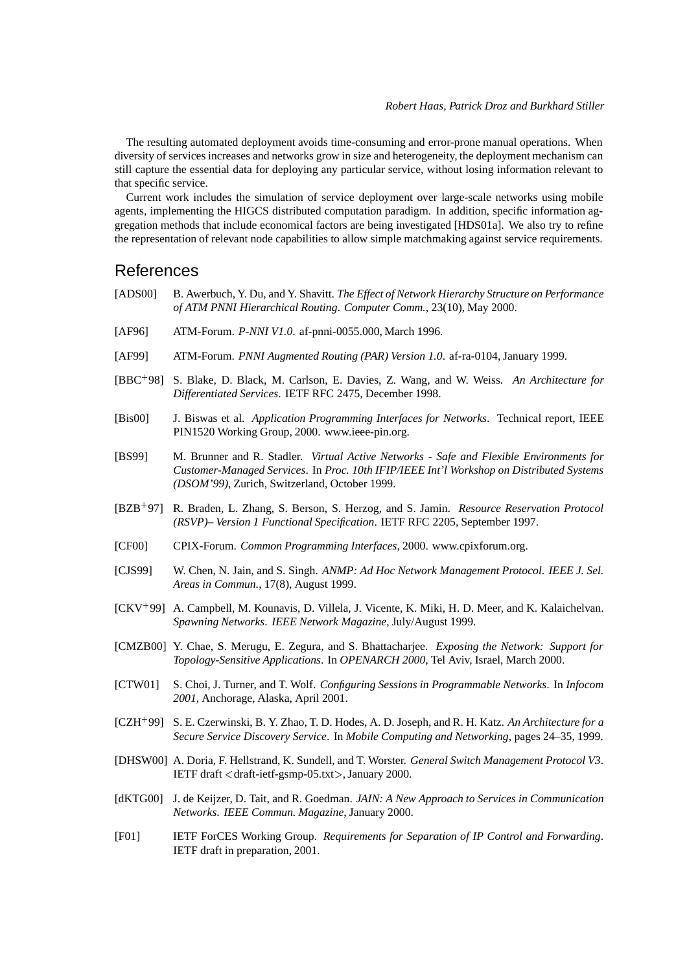The resulting automated deployment avoids time-consuming and error-prone manual operations. When diversity of services increases and networks grow in size and heterogeneity, the deployment mechanism can still capture the essential data for deploying any particular service, without losing information relevant to that specific service.

Current work includes the simulation of service deployment over large-scale networks using mobile agents, implementing the HIGCS distributed computation paradigm. In addition, specific information aggregation methods that include economical factors are being investigated [HDS01a]. We also try to refine the representation of relevant node capabilities to allow simple matchmaking against service requirements.

#### References

- [ADS00] B. Awerbuch, Y. Du, and Y. Shavitt. *The Effect of Network Hierarchy Structure on Performance of ATM PNNI Hierarchical Routing*. *Computer Comm.*, 23(10), May 2000.
- [AF96] ATM-Forum. *P-NNI V1.0*. af-pnni-0055.000, March 1996.
- [AF99] ATM-Forum. *PNNI Augmented Routing (PAR) Version 1.0*. af-ra-0104, January 1999.
- [BBC<sup>+</sup> 98] S. Blake, D. Black, M. Carlson, E. Davies, Z. Wang, and W. Weiss. *An Architecture for Differentiated Services*. IETF RFC 2475, December 1998.
- [Bis00] J. Biswas et al. *Application Programming Interfaces for Networks*. Technical report, IEEE PIN1520 Working Group, 2000. www.ieee-pin.org.
- [BS99] M. Brunner and R. Stadler. *Virtual Active Networks Safe and Flexible Environments for Customer-Managed Services*. In *Proc. 10th IFIP/IEEE Int'l Workshop on Distributed Systems (DSOM'99)*, Zurich, Switzerland, October 1999.
- [BZB<sup>+</sup> 97] R. Braden, L. Zhang, S. Berson, S. Herzog, and S. Jamin. *Resource Reservation Protocol (RSVP)– Version 1 Functional Specification*. IETF RFC 2205, September 1997.
- [CF00] CPIX-Forum. *Common Programming Interfaces*, 2000. www.cpixforum.org.
- [CJS99] W. Chen, N. Jain, and S. Singh. *ANMP: Ad Hoc Network Management Protocol*. *IEEE J. Sel. Areas in Commun.*, 17(8), August 1999.
- [CKV<sup>+</sup> 99] A. Campbell, M. Kounavis, D. Villela, J. Vicente, K. Miki, H. D. Meer, and K. Kalaichelvan. *Spawning Networks*. *IEEE Network Magazine*, July/August 1999.
- [CMZB00] Y. Chae, S. Merugu, E. Zegura, and S. Bhattacharjee. *Exposing the Network: Support for Topology-Sensitive Applications*. In *OPENARCH 2000*, Tel Aviv, Israel, March 2000.
- [CTW01] S. Choi, J. Turner, and T. Wolf. *Configuring Sessions in Programmable Networks*. In *Infocom 2001*, Anchorage, Alaska, April 2001.
- [CZH<sup>+</sup> 99] S. E. Czerwinski, B. Y. Zhao, T. D. Hodes, A. D. Joseph, and R. H. Katz. *An Architecture for a Secure Service Discovery Service*. In *Mobile Computing and Networking*, pages 24–35, 1999.
- [DHSW00] A. Doria, F. Hellstrand, K. Sundell, and T. Worster. *General Switch Management Protocol V3*. IETF draft <sup>&</sup>lt;draft-ietf-gsmp-05.txt>, January 2000.
- [dKTG00] J. de Keijzer, D. Tait, and R. Goedman. *JAIN: A New Approach to Services in Communication Networks*. *IEEE Commun. Magazine*, January 2000.
- [F01] IETF ForCES Working Group. *Requirements for Separation of IP Control and Forwarding*. IETF draft in preparation, 2001.